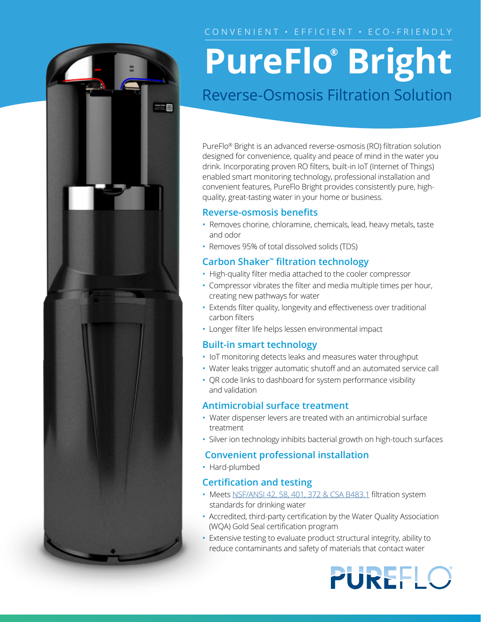### CONVENIENT · EFFICIENT · ECO-FRIENDLY



## **PureFlo® Bright** Reverse-Osmosis Filtration Solution

PureFlo® Bright is an advanced reverse-osmosis (RO) filtration solution designed for convenience, quality and peace of mind in the water you drink. Incorporating proven RO filters, built-in IoT (Internet of Things) enabled smart monitoring technology, professional installation and convenient features, PureFlo Bright provides consistently pure, highquality, great-tasting water in your home or business.

#### **Reverse-osmosis benefits**

- Removes chorine, chloramine, chemicals, lead, heavy metals, taste and odor
- Removes 95% of total dissolved solids (TDS)

#### **Carbon Shaker™ filtration technology**

- High-quality filter media attached to the cooler compressor
- Compressor vibrates the filter and media multiple times per hour, creating new pathways for water
- Extends filter quality, longevity and effectiveness over traditional carbon filters
- Longer filter life helps lessen environmental impact

#### **Built-in smart technology**

- IoT monitoring detects leaks and measures water throughput
- Water leaks trigger automatic shutoff and an automated service call
- QR code links to dashboard for system performance visibility and validation

#### **Antimicrobial surface treatment**

- Water dispenser levers are treated with an antimicrobial surface treatment
- Silver ion technology inhibits bacterial growth on high-touch surfaces

#### **Convenient professional installation**

• Hard-plumbed

#### **Certification and testing**

- Meets [NSF/ANSI 42, 58, 401](http://water.com/water-ﬁltration-equipment-rental#water-quality-standards), 372 & CSA B483.1 filtration system standards for drinking water
- Accredited, third-party certification by the Water Quality Association (WQA) Gold Seal certification program
- Extensive testing to evaluate product structural integrity, ability to reduce contaminants and safety of materials that contact water